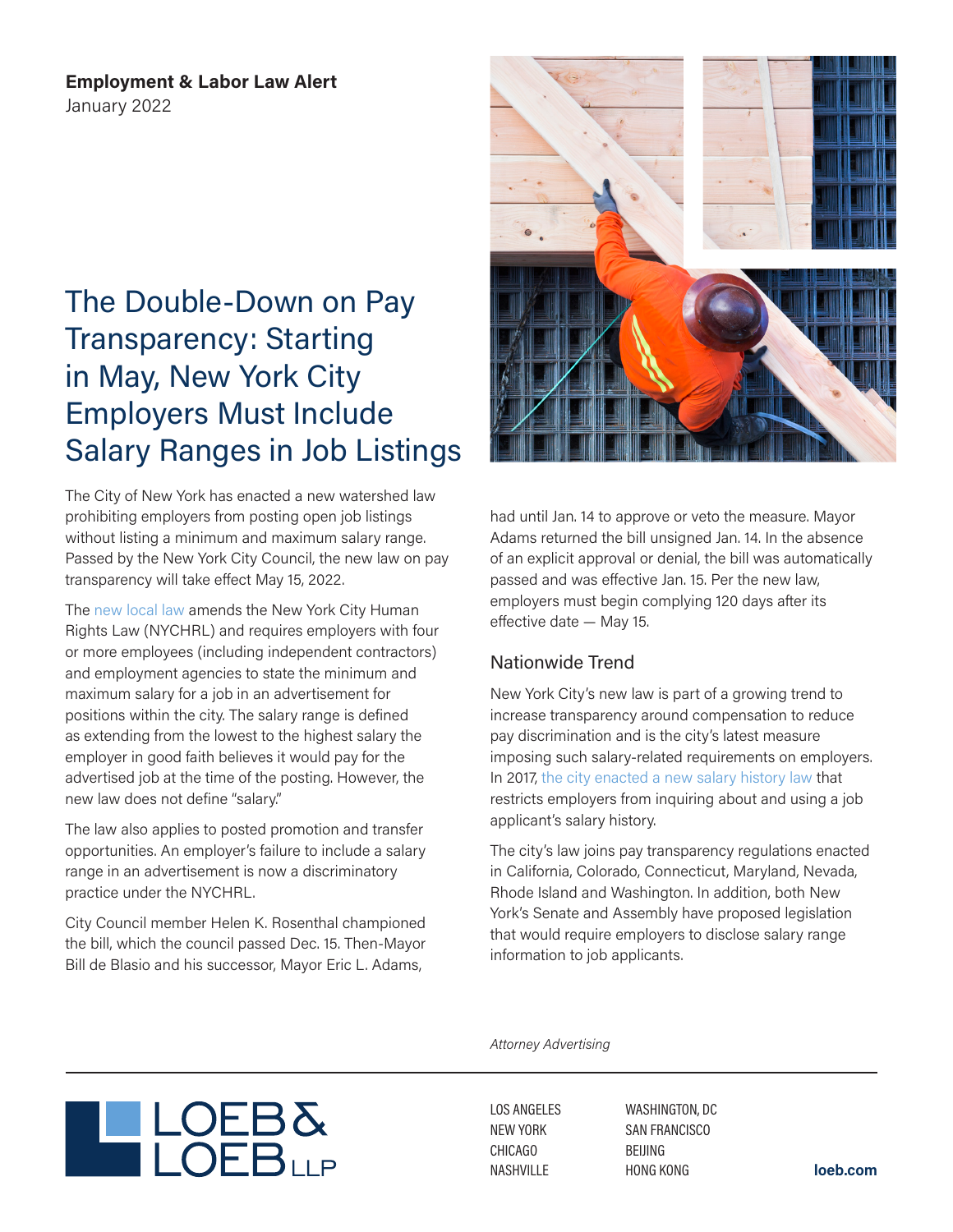#### **Employment & Labor Law Alert** January 2022

# The Double-Down on Pay Transparency: Starting in May, New York City Employers Must Include Salary Ranges in Job Listings

The City of New York has enacted a new watershed law prohibiting employers from posting open job listings without listing a minimum and maximum salary range. Passed by the New York City Council, the new law on pay transparency will take effect May 15, 2022.

The [new local law](https://legistar.council.nyc.gov/LegislationDetail.aspx?ID=3713951&GUID=E7B03ABA-8F42-4341-A0D2-50E2F95320CD&Options=&Search) amends the New York City Human Rights Law (NYCHRL) and requires employers with four or more employees (including independent contractors) and employment agencies to state the minimum and maximum salary for a job in an advertisement for positions within the city. The salary range is defined as extending from the lowest to the highest salary the employer in good faith believes it would pay for the advertised job at the time of the posting. However, the new law does not define "salary."

The law also applies to posted promotion and transfer opportunities. An employer's failure to include a salary range in an advertisement is now a discriminatory practice under the NYCHRL.

City Council member Helen K. Rosenthal championed the bill, which the council passed Dec. 15. Then-Mayor Bill de Blasio and his successor, Mayor Eric L. Adams,



had until Jan. 14 to approve or veto the measure. Mayor Adams returned the bill unsigned Jan. 14. In the absence of an explicit approval or denial, the bill was automatically passed and was effective Jan. 15. Per the new law, employers must begin complying 120 days after its effective date — May 15.

## Nationwide Trend

New York City's new law is part of a growing trend to increase transparency around compensation to reduce pay discrimination and is the city's latest measure imposing such salary-related requirements on employers. In 2017, [the city enacted a new salary history law](https://www.loeb.com/en/insights/publications/2017/10/new-york-citys-new-salary-history-law-what-emplo__) that restricts employers from inquiring about and using a job applicant's salary history.

The city's law joins pay transparency regulations enacted in California, Colorado, Connecticut, Maryland, Nevada, Rhode Island and Washington. In addition, both New York's Senate and Assembly have proposed legislation that would require employers to disclose salary range information to job applicants.

*Attorney Advertising*



LOS ANGELES NEW YORK CHICAGO NASHVILLE

WASHINGTON, DC SAN FRANCISCO BEIJING HONG KONG **loeb.com**